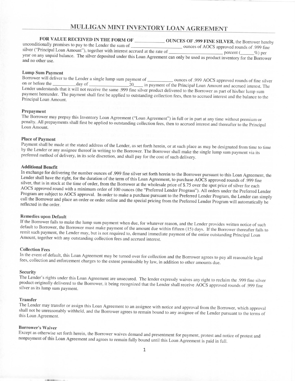# **MULLIGAN MINT INVENTORY LOAN AGREEMENT**

# **FOR VALUE RECEIVED IN THE FORM OF OUR OUNCES OF .999 FINE SILVER, the Borrow hereby hereby** unconditionally promises to pay to the Lender the sum of  $\overline{\phantom{0}}$  ounces  $\overline{\phantom{0}}$  approved rounds of  $\overline{\phantom{0}}$ . unconditionally promises to pay to the Lender the sum of<br>silver ("Principal Loan Amount"), together with interest accrued at the rate of percent ( %) per year on any unpaid balance. The silver deposited under this Loan Agreement can only be used as product inventory for the Borrower and no other use.

# **Lump Sum Payment**

Borrower will deliver to the Lender a single lump sum payment of \_\_\_\_\_\_\_\_\_\_\_\_ ounces of .999 AOCS approved rounds of fine silver on or before the day of 20 in payment of the Principal Loan Amount and accrued interest. The Lender understands that it will not receive the same .999 fine silver product delivered to the Borrower as part of his/her lump sum payment hereunder. The payment shall first be applied to outstanding collection fees, then to accrued interest and the balance to the Principal Loan Amount.

# **Prepayment**

The Borrower may prepay this Inventory Loan Agreement ("Loan Agreement") in full or in part at any time without premium or penalty. All prepayments shall first be applied to outstanding collection fees, then to accrued interest and thereafter to the Principal Loan Amount.

## **Place of Payment**

Payment shall be made at the stated address of the Lender, as set forth herein, or at such place as may be designated from time to time by the Lender or any assignee thereof in writing to the Borrower. The Borrower shall make the single lump sum payment via its preferred method of delivery, in its sole discretion, and shall pay for the cost of such delivery.

## **Additional Benefit**

In exchange for delivering the number ounces of .999 fine silver set forth herein to the Borrower pursuant to this Loan Agreement, the Lender shall have the right, for the duration of the term of this Loan Agreement, to purchase AOCS approved rounds of .999 fine silver, that is in stock at the time of order, from the Borrower at the wholesale price of \$.75 over the spot price of silver for each AOCS approved round with a minimum order of 100 ounces (the "Preferred Lender Program"). All orders under the Preferred Lender Program are subject to AOCS approval. In order to make a purchase pursuant to the Preferred Lender Program, the Lender can simply call the Borrower and place an order or order online and the special pricing from the Preferred Lender Program will automatically be reflected in the order.

# **Remedies upon Default**

If the Borrower fails to make the lump sum payment when due, for whatever reason, and the Lender provides written notice of such default to Borrower, the Borrower must make payment of the amount due within fifteen (15) days. If the Borrower thereafter fails to remit such payment, the Lender may, but is not required to, demand immediate payment of the entire outstanding Principal Loan Amount, together with any outstanding collection fees and accrued interest.

# **Collection** Fees

In the event of default, this Loan Agreement may be turned over for collection and the Borrower agrees to pay all reasonable legal fees, collection and enforcement charges to the extent permissible by law, in addition to other amounts due.

#### **Security**

The Lender's rights under this Loan Agreement are unsecured. The lender expressly waives any right to reclaim the .999 fine silver product originally delivered to the Borrower, it being recognized that the Lender shall receive AOCS approved rounds of .999 fine silver as its lump sum payment.

#### **Transfer**

The Lender may transfer or assign this Loan Agreement to an assignee with notice and approval from the Borrower, which approval shall not be unreasonably withheld, and the Borrower agrees to remain bound to any assignee of the Lender pursuant to the terms of this Loan Agreement.

## **Borrower's Waiver**

Except as otherwise set forth herein, the Borrower waives demand and presentment for payment, protest and notice of protest and nonpayment of this Loan Agreement and agrees to remain fully bound until this Loan Agreement is paid in full.